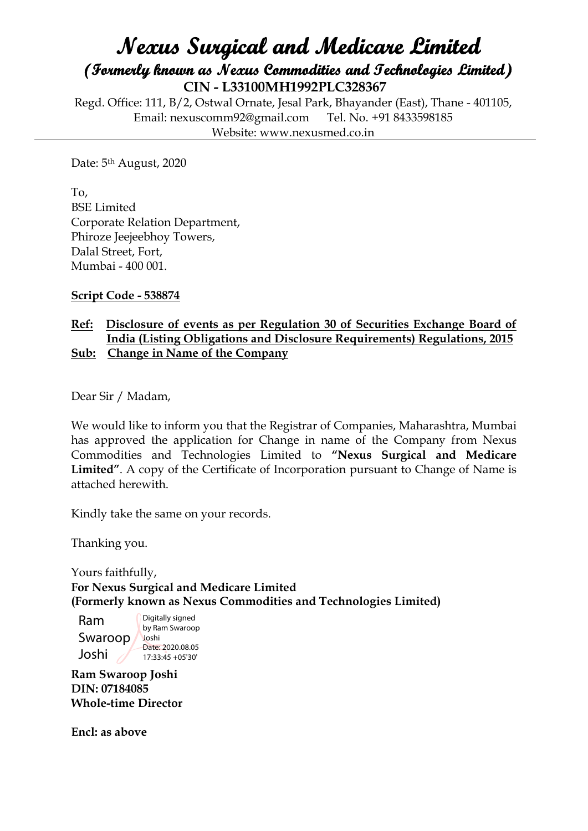## **Nexus Surgical and Medicare Limited (Formerly known as Nexus Commodities and Technologies Limited) CIN - L33100MH1992PLC328367**

Regd. Office: 111, B/2, Ostwal Ornate, Jesal Park, Bhayander (East), Thane - 401105, Email: nexuscomm92@gmail.com Tel. No. +91 8433598185 Website: www.nexusmed.co.in

Date: 5th August, 2020

To, BSE Limited Corporate Relation Department, Phiroze Jeejeebhoy Towers, Dalal Street, Fort, Mumbai - 400 001.

**Script Code - 538874**

## **Ref: Disclosure of events as per Regulation 30 of Securities Exchange Board of India (Listing Obligations and Disclosure Requirements) Regulations, 2015 Sub: Change in Name of the Company**

Dear Sir / Madam,

We would like to inform you that the Registrar of Companies, Maharashtra, Mumbai has approved the application for Change in name of the Company from Nexus Commodities and Technologies Limited to **"Nexus Surgical and Medicare Limited"**. A copy of the Certificate of Incorporation pursuant to Change of Name is attached herewith.

Kindly take the same on your records.

Thanking you.

Yours faithfully, **For Nexus Surgical and Medicare Limited (Formerly known as Nexus Commodities and Technologies Limited)**

Ram Swaroop Joshi Digitally signed by Ram Swaroop Joshi Date: 2020.08.05 17:33:45 +05'30'

**Ram Swaroop Joshi DIN: 07184085 Whole-time Director**

**Encl: as above**